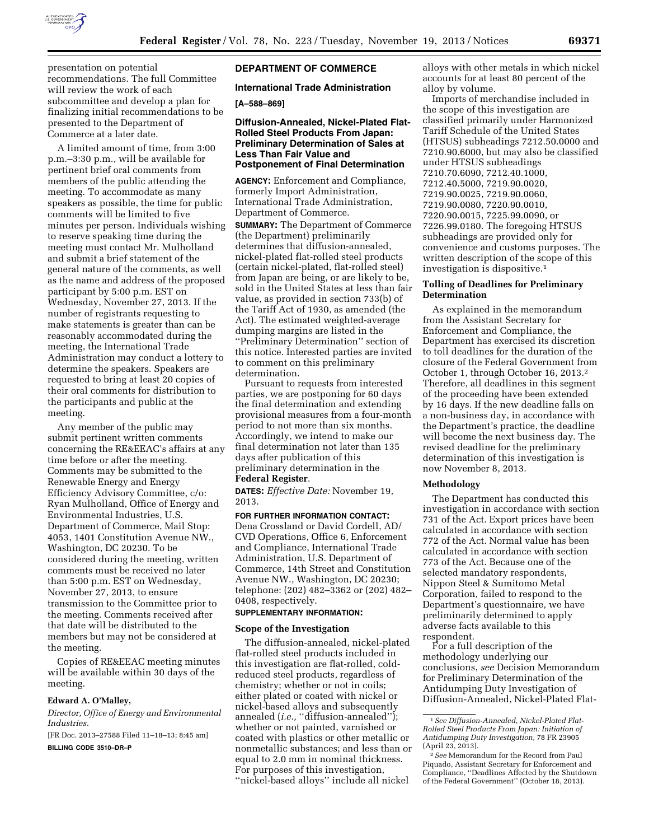

presentation on potential recommendations. The full Committee will review the work of each subcommittee and develop a plan for finalizing initial recommendations to be presented to the Department of Commerce at a later date.

A limited amount of time, from 3:00 p.m.–3:30 p.m., will be available for pertinent brief oral comments from members of the public attending the meeting. To accommodate as many speakers as possible, the time for public comments will be limited to five minutes per person. Individuals wishing to reserve speaking time during the meeting must contact Mr. Mulholland and submit a brief statement of the general nature of the comments, as well as the name and address of the proposed participant by 5:00 p.m. EST on Wednesday, November 27, 2013. If the number of registrants requesting to make statements is greater than can be reasonably accommodated during the meeting, the International Trade Administration may conduct a lottery to determine the speakers. Speakers are requested to bring at least 20 copies of their oral comments for distribution to the participants and public at the meeting.

Any member of the public may submit pertinent written comments concerning the RE&EEAC's affairs at any time before or after the meeting. Comments may be submitted to the Renewable Energy and Energy Efficiency Advisory Committee, c/o: Ryan Mulholland, Office of Energy and Environmental Industries, U.S. Department of Commerce, Mail Stop: 4053, 1401 Constitution Avenue NW., Washington, DC 20230. To be considered during the meeting, written comments must be received no later than 5:00 p.m. EST on Wednesday, November 27, 2013, to ensure transmission to the Committee prior to the meeting. Comments received after that date will be distributed to the members but may not be considered at the meeting.

Copies of RE&EEAC meeting minutes will be available within 30 days of the meeting.

#### **Edward A. O'Malley,**

*Director, Office of Energy and Environmental Industries.* 

[FR Doc. 2013–27588 Filed 11–18–13; 8:45 am]

# **BILLING CODE 3510–DR–P**

### **DEPARTMENT OF COMMERCE**

### **International Trade Administration**

# **[A–588–869]**

### **Diffusion-Annealed, Nickel-Plated Flat-Rolled Steel Products From Japan: Preliminary Determination of Sales at Less Than Fair Value and Postponement of Final Determination**

**AGENCY:** Enforcement and Compliance, formerly Import Administration, International Trade Administration, Department of Commerce. **SUMMARY:** The Department of Commerce (the Department) preliminarily determines that diffusion-annealed, nickel-plated flat-rolled steel products (certain nickel-plated, flat-rolled steel) from Japan are being, or are likely to be, sold in the United States at less than fair value, as provided in section 733(b) of the Tariff Act of 1930, as amended (the Act). The estimated weighted-average dumping margins are listed in the ''Preliminary Determination'' section of this notice. Interested parties are invited to comment on this preliminary determination.

Pursuant to requests from interested parties, we are postponing for 60 days the final determination and extending provisional measures from a four-month period to not more than six months. Accordingly, we intend to make our final determination not later than 135 days after publication of this preliminary determination in the

# **Federal Register**.

**DATES:** *Effective Date:* November 19, 2013.

#### **FOR FURTHER INFORMATION CONTACT:**

Dena Crossland or David Cordell, AD/ CVD Operations, Office 6, Enforcement and Compliance, International Trade Administration, U.S. Department of Commerce, 14th Street and Constitution Avenue NW., Washington, DC 20230; telephone: (202) 482–3362 or (202) 482– 0408, respectively.

#### **SUPPLEMENTARY INFORMATION:**

#### **Scope of the Investigation**

The diffusion-annealed, nickel-plated flat-rolled steel products included in this investigation are flat-rolled, coldreduced steel products, regardless of chemistry; whether or not in coils; either plated or coated with nickel or nickel-based alloys and subsequently annealed (*i.e.*, "diffusion-annealed"); whether or not painted, varnished or coated with plastics or other metallic or nonmetallic substances; and less than or equal to 2.0 mm in nominal thickness. For purposes of this investigation, ''nickel-based alloys'' include all nickel

alloys with other metals in which nickel accounts for at least 80 percent of the alloy by volume.

Imports of merchandise included in the scope of this investigation are classified primarily under Harmonized Tariff Schedule of the United States (HTSUS) subheadings 7212.50.0000 and 7210.90.6000, but may also be classified under HTSUS subheadings 7210.70.6090, 7212.40.1000, 7212.40.5000, 7219.90.0020, 7219.90.0025, 7219.90.0060, 7219.90.0080, 7220.90.0010, 7220.90.0015, 7225.99.0090, or 7226.99.0180. The foregoing HTSUS subheadings are provided only for convenience and customs purposes. The written description of the scope of this investigation is dispositive.1

#### **Tolling of Deadlines for Preliminary Determination**

As explained in the memorandum from the Assistant Secretary for Enforcement and Compliance, the Department has exercised its discretion to toll deadlines for the duration of the closure of the Federal Government from October 1, through October 16, 2013.2 Therefore, all deadlines in this segment of the proceeding have been extended by 16 days. If the new deadline falls on a non-business day, in accordance with the Department's practice, the deadline will become the next business day. The revised deadline for the preliminary determination of this investigation is now November 8, 2013.

#### **Methodology**

The Department has conducted this investigation in accordance with section 731 of the Act. Export prices have been calculated in accordance with section 772 of the Act. Normal value has been calculated in accordance with section 773 of the Act. Because one of the selected mandatory respondents, Nippon Steel & Sumitomo Metal Corporation, failed to respond to the Department's questionnaire, we have preliminarily determined to apply adverse facts available to this respondent.

For a full description of the methodology underlying our conclusions, *see* Decision Memorandum for Preliminary Determination of the Antidumping Duty Investigation of Diffusion-Annealed, Nickel-Plated Flat-

<sup>1</sup>*See Diffusion-Annealed, Nickel-Plated Flat-Rolled Steel Products From Japan: Initiation of Antidumping Duty Investigation,* 78 FR 23905 (April 23, 2013).

<sup>2</sup>*See* Memorandum for the Record from Paul Piquado, Assistant Secretary for Enforcement and Compliance, ''Deadlines Affected by the Shutdown of the Federal Government'' (October 18, 2013).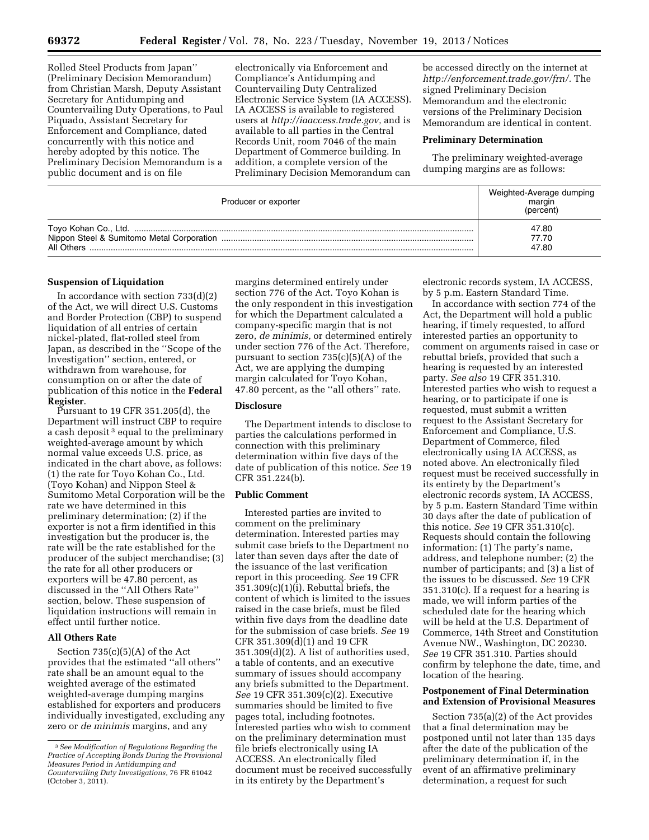Rolled Steel Products from Japan'' (Preliminary Decision Memorandum) from Christian Marsh, Deputy Assistant Secretary for Antidumping and Countervailing Duty Operations, to Paul Piquado, Assistant Secretary for Enforcement and Compliance, dated concurrently with this notice and hereby adopted by this notice. The Preliminary Decision Memorandum is a public document and is on file

electronically via Enforcement and Compliance's Antidumping and Countervailing Duty Centralized Electronic Service System (IA ACCESS). IA ACCESS is available to registered users at *[http://iaaccess.trade.gov,](http://iaaccess.trade.gov)* and is available to all parties in the Central Records Unit, room 7046 of the main Department of Commerce building. In addition, a complete version of the Preliminary Decision Memorandum can be accessed directly on the internet at *[http://enforcement.trade.gov/frn/.](http://enforcement.trade.gov/frn/)* The signed Preliminary Decision Memorandum and the electronic versions of the Preliminary Decision Memorandum are identical in content.

### **Preliminary Determination**

The preliminary weighted-average dumping margins are as follows:

| Producer or exporter | Weighted-Average dumping<br>margin<br>(percent) |
|----------------------|-------------------------------------------------|
| All Others           | 47.80<br>77.70<br>47.80                         |

#### **Suspension of Liquidation**

In accordance with section  $733(d)(2)$ of the Act, we will direct U.S. Customs and Border Protection (CBP) to suspend liquidation of all entries of certain nickel-plated, flat-rolled steel from Japan, as described in the ''Scope of the Investigation'' section, entered, or withdrawn from warehouse, for consumption on or after the date of publication of this notice in the **Federal Register**.

Pursuant to 19 CFR 351.205(d), the Department will instruct CBP to require a cash deposit<sup>3</sup> equal to the preliminary weighted-average amount by which normal value exceeds U.S. price, as indicated in the chart above, as follows: (1) the rate for Toyo Kohan Co., Ltd. (Toyo Kohan) and Nippon Steel & Sumitomo Metal Corporation will be the rate we have determined in this preliminary determination; (2) if the exporter is not a firm identified in this investigation but the producer is, the rate will be the rate established for the producer of the subject merchandise; (3) the rate for all other producers or exporters will be 47.80 percent, as discussed in the ''All Others Rate'' section, below. These suspension of liquidation instructions will remain in effect until further notice.

### **All Others Rate**

Section  $735(c)(5)(A)$  of the Act provides that the estimated ''all others'' rate shall be an amount equal to the weighted average of the estimated weighted-average dumping margins established for exporters and producers individually investigated, excluding any zero or *de minimis* margins, and any

margins determined entirely under section 776 of the Act. Toyo Kohan is the only respondent in this investigation for which the Department calculated a company-specific margin that is not zero, *de minimis,* or determined entirely under section 776 of the Act. Therefore, pursuant to section 735(c)(5)(A) of the Act, we are applying the dumping margin calculated for Toyo Kohan, 47.80 percent, as the ''all others'' rate.

### **Disclosure**

The Department intends to disclose to parties the calculations performed in connection with this preliminary determination within five days of the date of publication of this notice. *See* 19 CFR 351.224(b).

#### **Public Comment**

Interested parties are invited to comment on the preliminary determination. Interested parties may submit case briefs to the Department no later than seven days after the date of the issuance of the last verification report in this proceeding. *See* 19 CFR  $351.309(c)(1)(i)$ . Rebuttal briefs, the content of which is limited to the issues raised in the case briefs, must be filed within five days from the deadline date for the submission of case briefs. *See* 19 CFR 351.309(d)(1) and 19 CFR 351.309(d)(2). A list of authorities used, a table of contents, and an executive summary of issues should accompany any briefs submitted to the Department. *See* 19 CFR 351.309(c)(2). Executive summaries should be limited to five pages total, including footnotes. Interested parties who wish to comment on the preliminary determination must file briefs electronically using IA ACCESS. An electronically filed document must be received successfully in its entirety by the Department's

electronic records system, IA ACCESS, by 5 p.m. Eastern Standard Time.

In accordance with section 774 of the Act, the Department will hold a public hearing, if timely requested, to afford interested parties an opportunity to comment on arguments raised in case or rebuttal briefs, provided that such a hearing is requested by an interested party. *See also* 19 CFR 351.310. Interested parties who wish to request a hearing, or to participate if one is requested, must submit a written request to the Assistant Secretary for Enforcement and Compliance, U.S. Department of Commerce, filed electronically using IA ACCESS, as noted above. An electronically filed request must be received successfully in its entirety by the Department's electronic records system, IA ACCESS, by 5 p.m. Eastern Standard Time within 30 days after the date of publication of this notice. *See* 19 CFR 351.310(c). Requests should contain the following information: (1) The party's name, address, and telephone number; (2) the number of participants; and (3) a list of the issues to be discussed. *See* 19 CFR 351.310(c). If a request for a hearing is made, we will inform parties of the scheduled date for the hearing which will be held at the U.S. Department of Commerce, 14th Street and Constitution Avenue NW., Washington, DC 20230. *See* 19 CFR 351.310. Parties should confirm by telephone the date, time, and location of the hearing.

### **Postponement of Final Determination and Extension of Provisional Measures**

Section 735(a)(2) of the Act provides that a final determination may be postponed until not later than 135 days after the date of the publication of the preliminary determination if, in the event of an affirmative preliminary determination, a request for such

<sup>3</sup>*See Modification of Regulations Regarding the Practice of Accepting Bonds During the Provisional Measures Period in Antidumping and Countervailing Duty Investigations,* 76 FR 61042 (October 3, 2011).